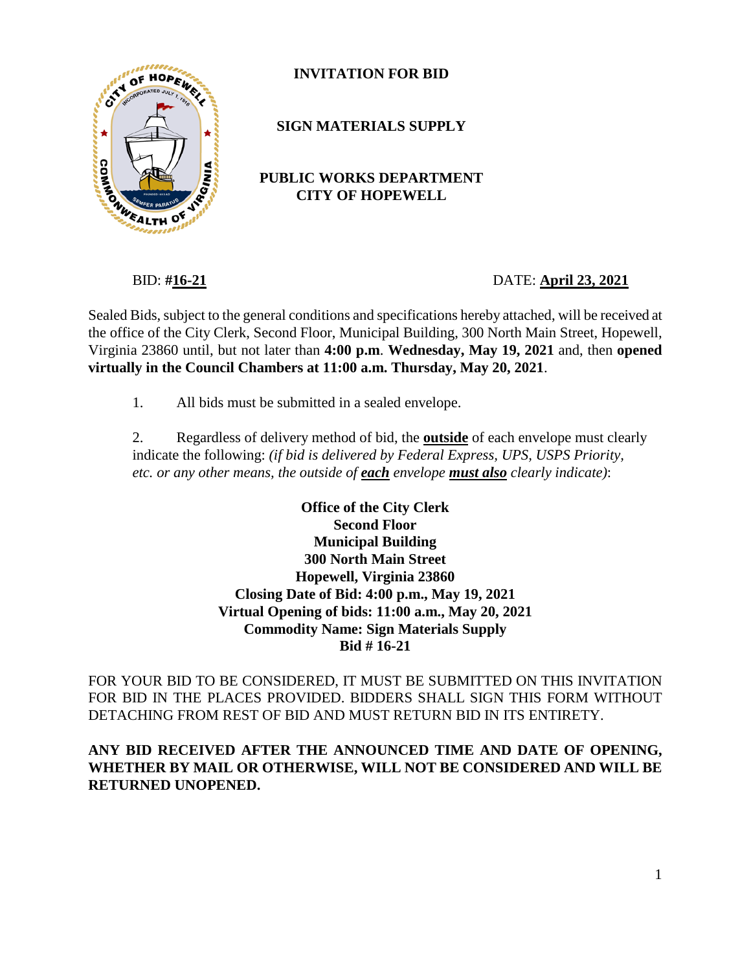

## **INVITATION FOR BID**

**SIGN MATERIALS SUPPLY**

## **PUBLIC WORKS DEPARTMENT CITY OF HOPEWELL**

BID: **#16-21** DATE: **April 23, 2021**

Sealed Bids, subject to the general conditions and specifications hereby attached, will be received at the office of the City Clerk, Second Floor, Municipal Building, 300 North Main Street, Hopewell, Virginia 23860 until, but not later than **4:00 p.m**. **Wednesday, May 19, 2021** and, then **opened virtually in the Council Chambers at 11:00 a.m. Thursday, May 20, 2021**.

1. All bids must be submitted in a sealed envelope.

2. Regardless of delivery method of bid, the **outside** of each envelope must clearly indicate the following: *(if bid is delivered by Federal Express, UPS, USPS Priority, etc. or any other means, the outside of each envelope must also clearly indicate)*:

> **Office of the City Clerk Second Floor Municipal Building 300 North Main Street Hopewell, Virginia 23860 Closing Date of Bid: 4:00 p.m., May 19, 2021 Virtual Opening of bids: 11:00 a.m., May 20, 2021 Commodity Name: Sign Materials Supply Bid # 16-21**

FOR YOUR BID TO BE CONSIDERED, IT MUST BE SUBMITTED ON THIS INVITATION FOR BID IN THE PLACES PROVIDED. BIDDERS SHALL SIGN THIS FORM WITHOUT DETACHING FROM REST OF BID AND MUST RETURN BID IN ITS ENTIRETY.

## **ANY BID RECEIVED AFTER THE ANNOUNCED TIME AND DATE OF OPENING, WHETHER BY MAIL OR OTHERWISE, WILL NOT BE CONSIDERED AND WILL BE RETURNED UNOPENED.**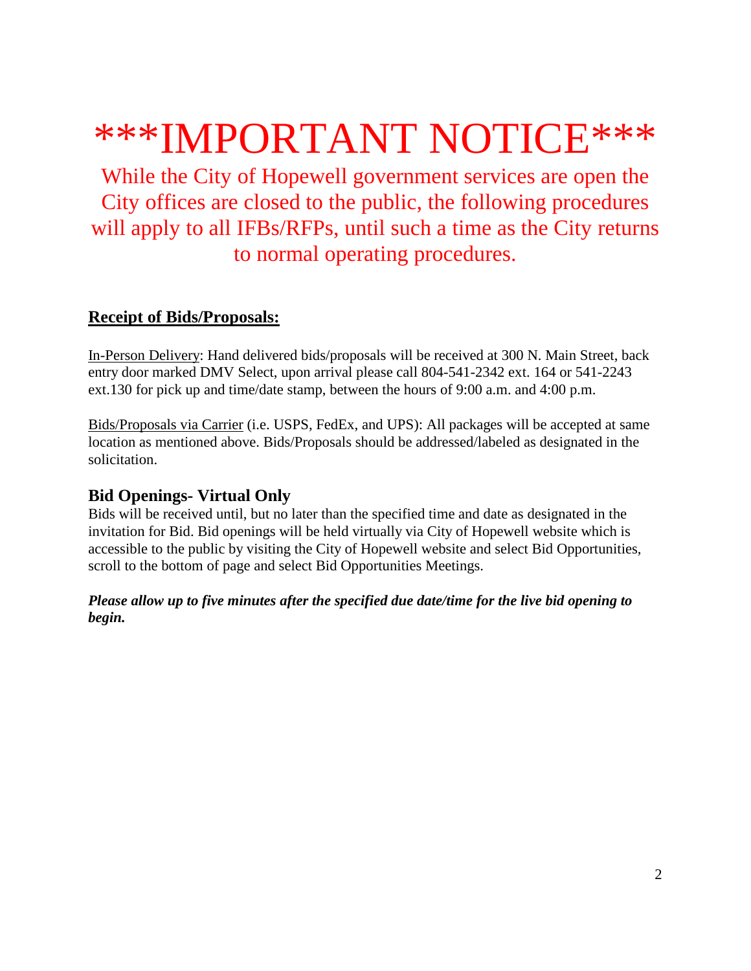# \*\*\*IMPORTANT NOTICE\*\*\*

While the City of Hopewell government services are open the City offices are closed to the public, the following procedures will apply to all IFBs/RFPs, until such a time as the City returns to normal operating procedures.

# **Receipt of Bids/Proposals:**

In-Person Delivery: Hand delivered bids/proposals will be received at 300 N. Main Street, back entry door marked DMV Select, upon arrival please call 804-541-2342 ext. 164 or 541-2243 ext.130 for pick up and time/date stamp, between the hours of 9:00 a.m. and 4:00 p.m.

Bids/Proposals via Carrier (i.e. USPS, FedEx, and UPS): All packages will be accepted at same location as mentioned above. Bids/Proposals should be addressed/labeled as designated in the solicitation.

# **Bid Openings- Virtual Only**

Bids will be received until, but no later than the specified time and date as designated in the invitation for Bid. Bid openings will be held virtually via City of Hopewell website which is accessible to the public by visiting the City of Hopewell website and select Bid Opportunities, scroll to the bottom of page and select Bid Opportunities Meetings.

*Please allow up to five minutes after the specified due date/time for the live bid opening to begin.*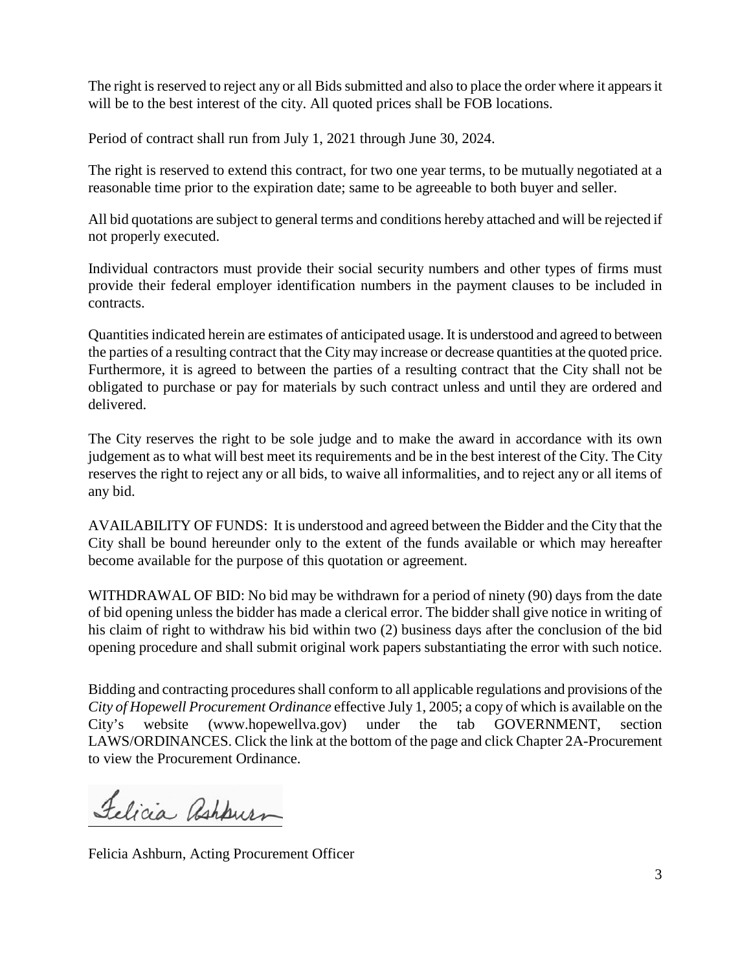The right is reserved to reject any or all Bids submitted and also to place the order where it appears it will be to the best interest of the city. All quoted prices shall be FOB locations.

Period of contract shall run from July 1, 2021 through June 30, 2024.

The right is reserved to extend this contract, for two one year terms, to be mutually negotiated at a reasonable time prior to the expiration date; same to be agreeable to both buyer and seller.

All bid quotations are subject to general terms and conditions hereby attached and will be rejected if not properly executed.

Individual contractors must provide their social security numbers and other types of firms must provide their federal employer identification numbers in the payment clauses to be included in contracts.

Quantities indicated herein are estimates of anticipated usage. It is understood and agreed to between the parties of a resulting contract that the City may increase or decrease quantities at the quoted price. Furthermore, it is agreed to between the parties of a resulting contract that the City shall not be obligated to purchase or pay for materials by such contract unless and until they are ordered and delivered.

The City reserves the right to be sole judge and to make the award in accordance with its own judgement as to what will best meet its requirements and be in the best interest of the City. The City reserves the right to reject any or all bids, to waive all informalities, and to reject any or all items of any bid.

AVAILABILITY OF FUNDS: It is understood and agreed between the Bidder and the City that the City shall be bound hereunder only to the extent of the funds available or which may hereafter become available for the purpose of this quotation or agreement.

WITHDRAWAL OF BID: No bid may be withdrawn for a period of ninety (90) days from the date of bid opening unless the bidder has made a clerical error. The bidder shall give notice in writing of his claim of right to withdraw his bid within two (2) business days after the conclusion of the bid opening procedure and shall submit original work papers substantiating the error with such notice.

Bidding and contracting procedures shall conform to all applicable regulations and provisions of the *City of Hopewell Procurement Ordinance* effective July 1, 2005; a copy of which is available on the City's website (www.hopewellva.gov) under the tab GOVERNMENT, section LAWS/ORDINANCES. Click the link at the bottom of the page and click Chapter 2A-Procurement to view the Procurement Ordinance.

Felicia Rahburn

Felicia Ashburn, Acting Procurement Officer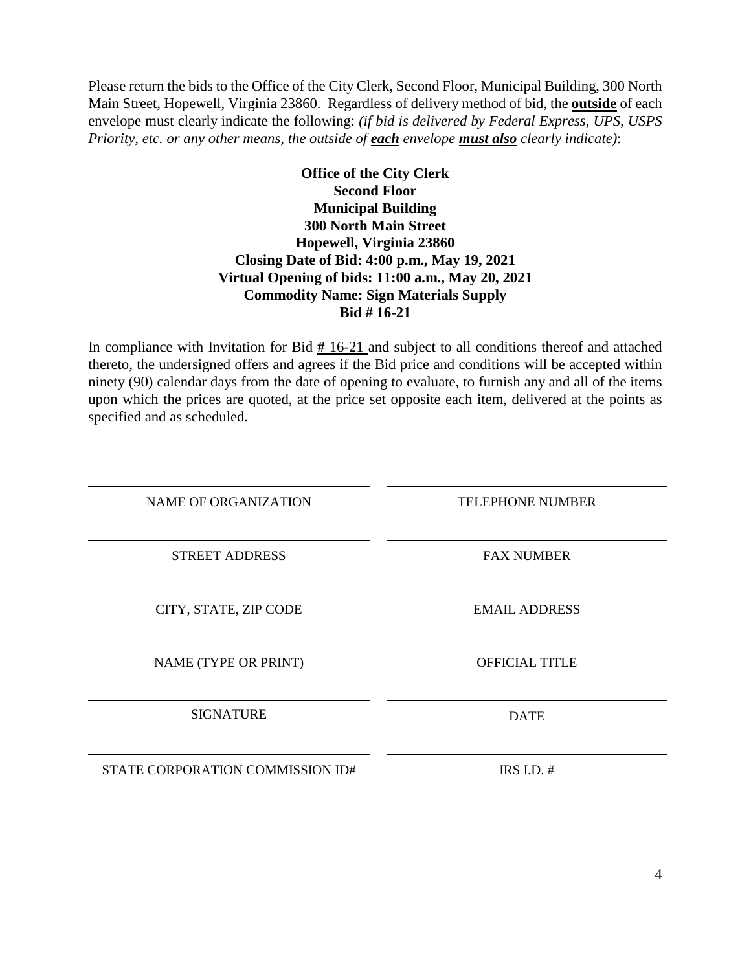Please return the bids to the Office of the City Clerk, Second Floor, Municipal Building, 300 North Main Street, Hopewell, Virginia 23860. Regardless of delivery method of bid, the **outside** of each envelope must clearly indicate the following: *(if bid is delivered by Federal Express, UPS, USPS Priority, etc. or any other means, the outside of each envelope must also clearly indicate)*:

#### **Office of the City Clerk Second Floor Municipal Building 300 North Main Street Hopewell, Virginia 23860 Closing Date of Bid: 4:00 p.m., May 19, 2021 Virtual Opening of bids: 11:00 a.m., May 20, 2021 Commodity Name: Sign Materials Supply Bid # 16-21**

In compliance with Invitation for Bid **#** 16-21 and subject to all conditions thereof and attached thereto, the undersigned offers and agrees if the Bid price and conditions will be accepted within ninety (90) calendar days from the date of opening to evaluate, to furnish any and all of the items upon which the prices are quoted, at the price set opposite each item, delivered at the points as specified and as scheduled.

| <b>NAME OF ORGANIZATION</b>      | <b>TELEPHONE NUMBER</b> |
|----------------------------------|-------------------------|
| <b>STREET ADDRESS</b>            | <b>FAX NUMBER</b>       |
| CITY, STATE, ZIP CODE            | <b>EMAIL ADDRESS</b>    |
| NAME (TYPE OR PRINT)             | <b>OFFICIAL TITLE</b>   |
| <b>SIGNATURE</b>                 | <b>DATE</b>             |
| STATE CORPORATION COMMISSION ID# | IRS I.D. $#$            |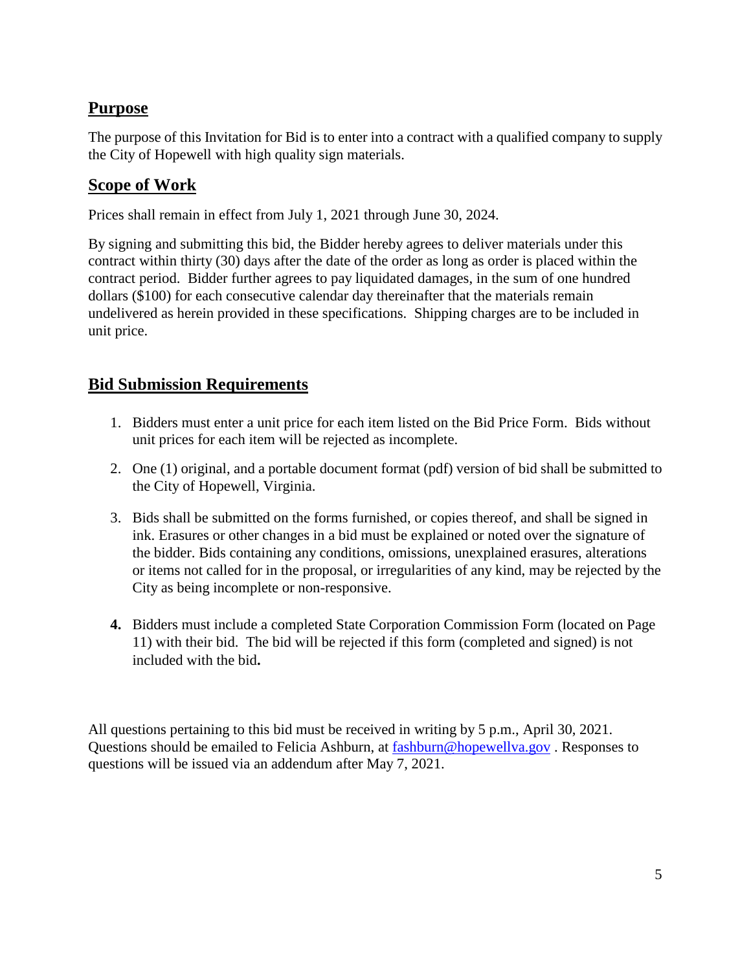# **Purpose**

The purpose of this Invitation for Bid is to enter into a contract with a qualified company to supply the City of Hopewell with high quality sign materials.

## **Scope of Work**

Prices shall remain in effect from July 1, 2021 through June 30, 2024.

By signing and submitting this bid, the Bidder hereby agrees to deliver materials under this contract within thirty (30) days after the date of the order as long as order is placed within the contract period. Bidder further agrees to pay liquidated damages, in the sum of one hundred dollars (\$100) for each consecutive calendar day thereinafter that the materials remain undelivered as herein provided in these specifications. Shipping charges are to be included in unit price.

# **Bid Submission Requirements**

- 1. Bidders must enter a unit price for each item listed on the Bid Price Form. Bids without unit prices for each item will be rejected as incomplete.
- 2. One (1) original, and a portable document format (pdf) version of bid shall be submitted to the City of Hopewell, Virginia.
- 3. Bids shall be submitted on the forms furnished, or copies thereof, and shall be signed in ink. Erasures or other changes in a bid must be explained or noted over the signature of the bidder. Bids containing any conditions, omissions, unexplained erasures, alterations or items not called for in the proposal, or irregularities of any kind, may be rejected by the City as being incomplete or non-responsive.
- **4.** Bidders must include a completed State Corporation Commission Form (located on Page 11) with their bid. The bid will be rejected if this form (completed and signed) is not included with the bid**.**

All questions pertaining to this bid must be received in writing by 5 p.m., April 30, 2021. Questions should be emailed to Felicia Ashburn, at [fashburn@hopewellva.gov](mailto:fashburn@hopewellva.gov) . Responses to questions will be issued via an addendum after May 7, 2021.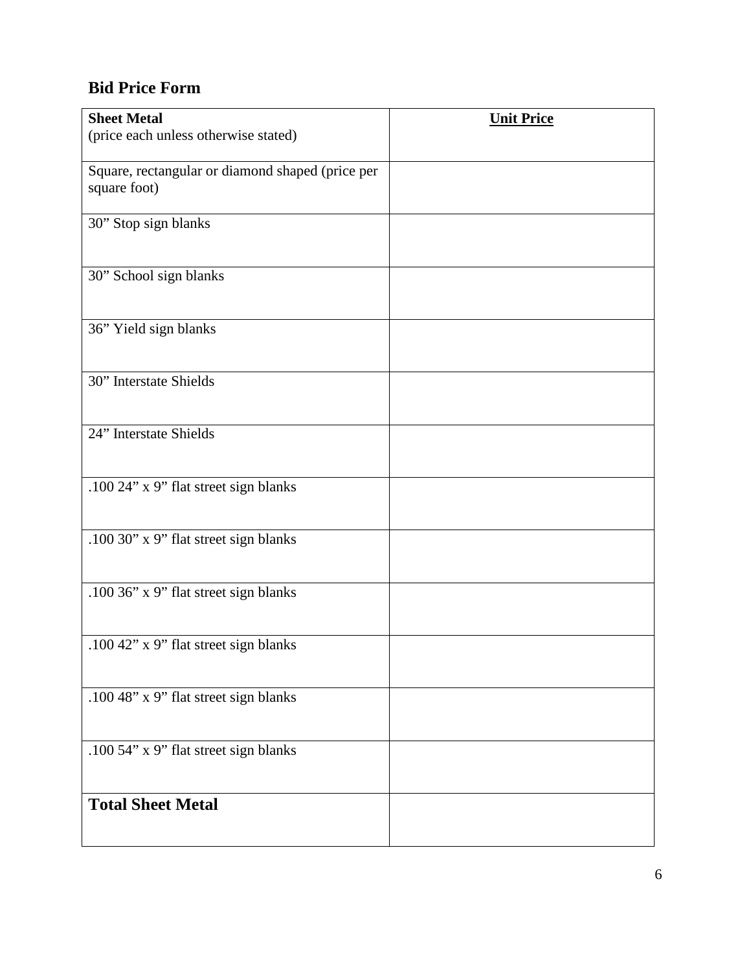# **Bid Price Form**

| <b>Sheet Metal</b>                                               | <b>Unit Price</b> |
|------------------------------------------------------------------|-------------------|
| (price each unless otherwise stated)                             |                   |
| Square, rectangular or diamond shaped (price per<br>square foot) |                   |
|                                                                  |                   |
| 30" Stop sign blanks                                             |                   |
|                                                                  |                   |
| 30" School sign blanks                                           |                   |
| 36" Yield sign blanks                                            |                   |
|                                                                  |                   |
| 30" Interstate Shields                                           |                   |
|                                                                  |                   |
| 24" Interstate Shields                                           |                   |
|                                                                  |                   |
| .100 24" x 9" flat street sign blanks                            |                   |
| .100 30" x 9" flat street sign blanks                            |                   |
|                                                                  |                   |
| .100 36" x 9" flat street sign blanks                            |                   |
|                                                                  |                   |
| .100 42" x 9" flat street sign blanks                            |                   |
|                                                                  |                   |
| .100 48" x 9" flat street sign blanks                            |                   |
|                                                                  |                   |
| .100 54" x 9" flat street sign blanks                            |                   |
|                                                                  |                   |
| <b>Total Sheet Metal</b>                                         |                   |
|                                                                  |                   |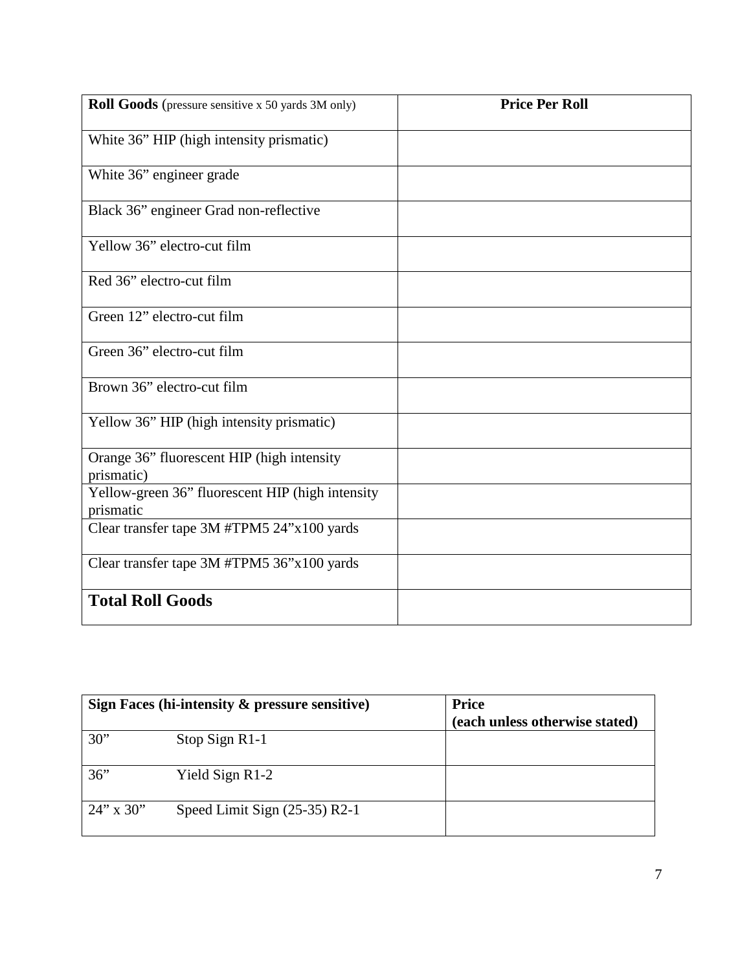| Roll Goods (pressure sensitive x 50 yards 3M only)            | <b>Price Per Roll</b> |
|---------------------------------------------------------------|-----------------------|
| White 36" HIP (high intensity prismatic)                      |                       |
| White 36" engineer grade                                      |                       |
| Black 36" engineer Grad non-reflective                        |                       |
| Yellow 36" electro-cut film                                   |                       |
| Red 36" electro-cut film                                      |                       |
| Green 12" electro-cut film                                    |                       |
| Green 36" electro-cut film                                    |                       |
| Brown 36" electro-cut film                                    |                       |
| Yellow 36" HIP (high intensity prismatic)                     |                       |
| Orange 36" fluorescent HIP (high intensity<br>prismatic)      |                       |
| Yellow-green 36" fluorescent HIP (high intensity<br>prismatic |                       |
| Clear transfer tape 3M #TPM5 24"x100 yards                    |                       |
| Clear transfer tape 3M #TPM5 36"x100 yards                    |                       |
| <b>Total Roll Goods</b>                                       |                       |

|              | Sign Faces (hi-intensity & pressure sensitive) | <b>Price</b><br>(each unless otherwise stated) |
|--------------|------------------------------------------------|------------------------------------------------|
| 30"          | Stop Sign R1-1                                 |                                                |
| 36"          | Yield Sign R1-2                                |                                                |
| $24$ " x 30" | Speed Limit Sign $(25-35)$ R2-1                |                                                |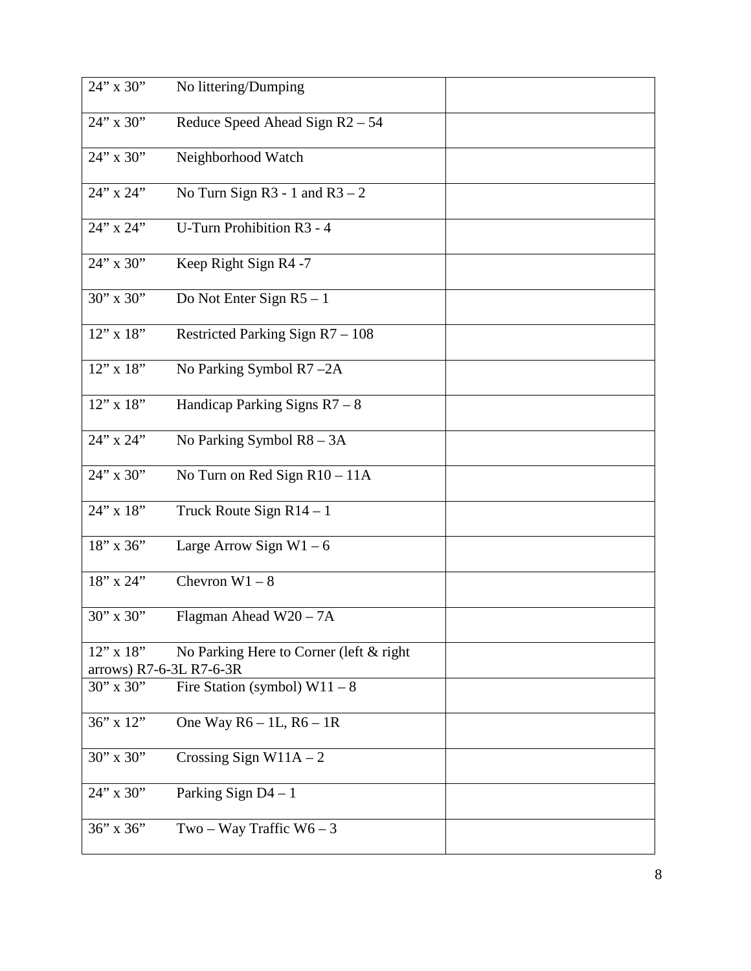| 24" x 30"                                  | No littering/Dumping                     |  |
|--------------------------------------------|------------------------------------------|--|
| 24" x 30"                                  | Reduce Speed Ahead Sign R2 - 54          |  |
| $24$ " x 30"                               | Neighborhood Watch                       |  |
| 24" x 24"                                  | No Turn Sign $R3 - 1$ and $R3 - 2$       |  |
| 24" x 24"                                  | <b>U-Turn Prohibition R3 - 4</b>         |  |
| $24$ " x 30"                               | Keep Right Sign R4 -7                    |  |
| 30" x 30"                                  | Do Not Enter Sign $R5 - 1$               |  |
| $12$ " x $18$ "                            | Restricted Parking Sign R7 - 108         |  |
| $12$ " x $18$ "                            | No Parking Symbol R7-2A                  |  |
| $12$ " x $18$ "                            | Handicap Parking Signs $R7 - 8$          |  |
| 24" x 24"                                  | No Parking Symbol R8 - 3A                |  |
| 24" x 30"                                  | No Turn on Red Sign R10 - 11A            |  |
| $24$ " x 18"                               | Truck Route Sign $R14 - 1$               |  |
| 18" x 36"                                  | Large Arrow Sign $W1 - 6$                |  |
| 18" x 24"                                  | Chevron $W1 - 8$                         |  |
| 30" x 30"                                  | Flagman Ahead W20 - 7A                   |  |
| $12$ " x $18$ "<br>arrows) R7-6-3L R7-6-3R | No Parking Here to Corner (left & right) |  |
| 30" x 30"                                  | Fire Station (symbol) $W11 - 8$          |  |
| $36$ " x $12$ "                            | One Way $R6 - 1L$ , $R6 - 1R$            |  |
| $30''$ x $30''$                            | Crossing Sign W11A $-2$                  |  |
| 24" x 30"                                  | Parking Sign $D4 - 1$                    |  |
| 36" x 36"                                  | Two – Way Traffic $W6 - 3$               |  |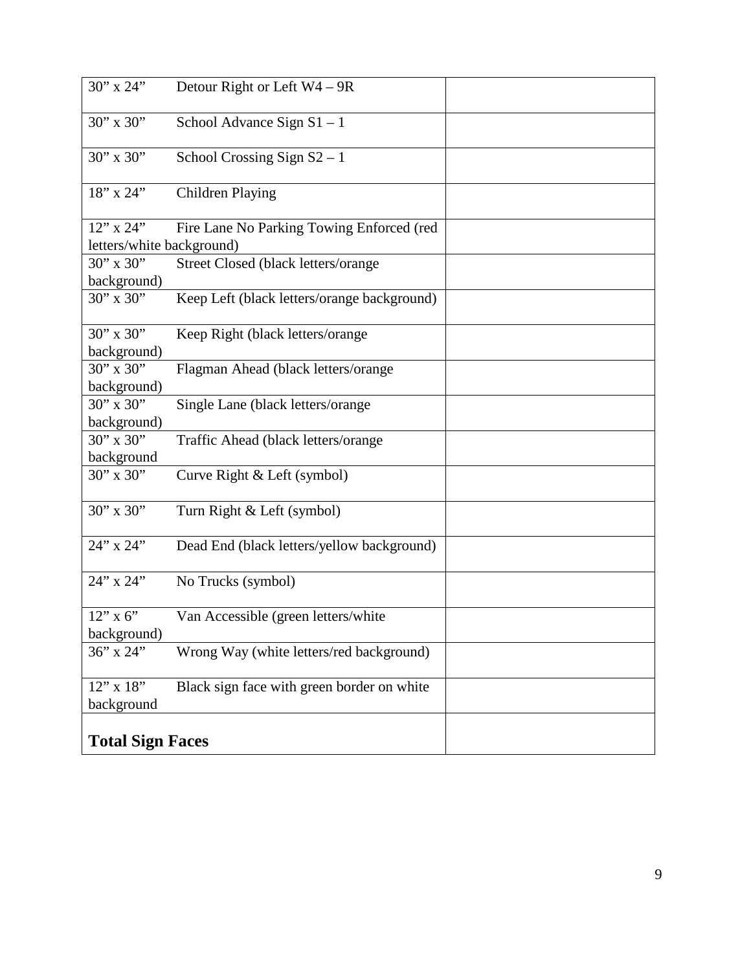| 30" x 24"                 | Detour Right or Left W4 - 9R                |  |
|---------------------------|---------------------------------------------|--|
| 30" x 30"                 | School Advance Sign $S1 - 1$                |  |
| $30''$ x $30''$           | School Crossing Sign $S2 - 1$               |  |
| 18" x 24"                 | <b>Children Playing</b>                     |  |
| 12" x 24"                 | Fire Lane No Parking Towing Enforced (red   |  |
| letters/white background) |                                             |  |
| $30''$ x $30''$           | Street Closed (black letters/orange         |  |
| background)               |                                             |  |
| $30''$ x $30''$           | Keep Left (black letters/orange background) |  |
| $30''$ x $30''$           | Keep Right (black letters/orange            |  |
| background)               |                                             |  |
| $30''$ x $30''$           | Flagman Ahead (black letters/orange         |  |
| background)               |                                             |  |
| $30''$ x $30''$           | Single Lane (black letters/orange           |  |
| background)               |                                             |  |
| $30''$ x $30''$           | Traffic Ahead (black letters/orange         |  |
| background                |                                             |  |
| $30''$ x $30''$           | Curve Right & Left (symbol)                 |  |
| 30" x 30"                 | Turn Right & Left (symbol)                  |  |
| 24" x 24"                 | Dead End (black letters/yellow background)  |  |
| 24" x 24"                 | No Trucks (symbol)                          |  |
| $12$ " x 6"               | Van Accessible (green letters/white         |  |
| background)               |                                             |  |
| 36" x 24"                 | Wrong Way (white letters/red background)    |  |
| 12" x 18"<br>background   | Black sign face with green border on white  |  |
| <b>Total Sign Faces</b>   |                                             |  |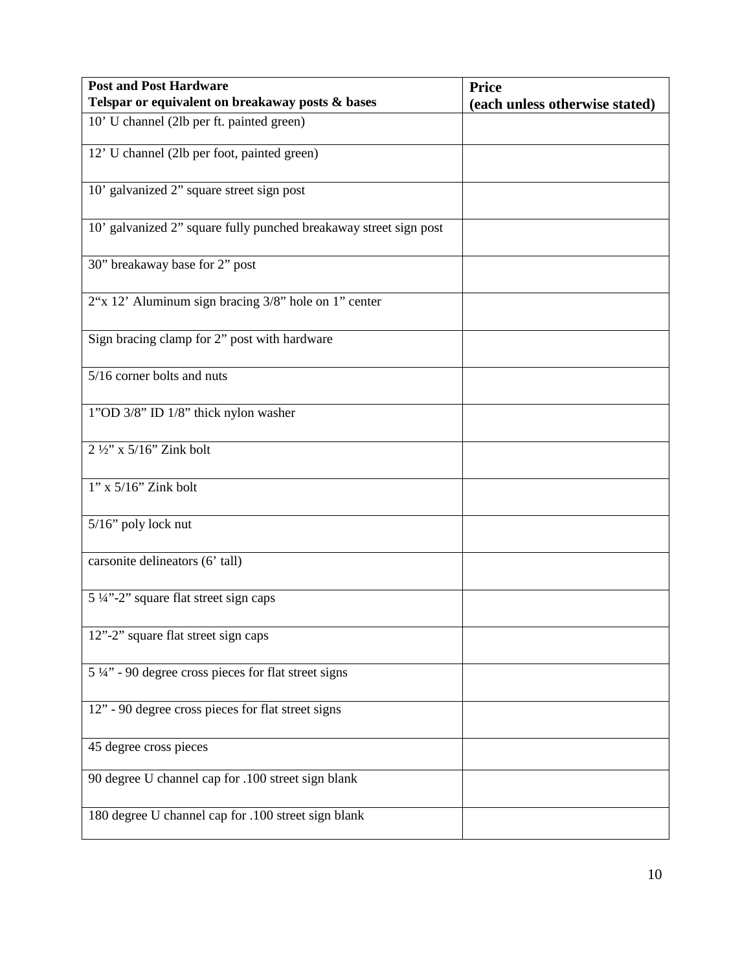| <b>Post and Post Hardware</b>                                     | <b>Price</b>                   |
|-------------------------------------------------------------------|--------------------------------|
| Telspar or equivalent on breakaway posts & bases                  | (each unless otherwise stated) |
| 10' U channel (2lb per ft. painted green)                         |                                |
| 12' U channel (2lb per foot, painted green)                       |                                |
| 10' galvanized 2" square street sign post                         |                                |
| 10' galvanized 2" square fully punched breakaway street sign post |                                |
| 30" breakaway base for 2" post                                    |                                |
| 2"x 12" Aluminum sign bracing 3/8" hole on 1" center              |                                |
| Sign bracing clamp for 2" post with hardware                      |                                |
| 5/16 corner bolts and nuts                                        |                                |
| 1"OD 3/8" ID 1/8" thick nylon washer                              |                                |
| $2\frac{1}{2}$ ' x 5/16" Zink bolt                                |                                |
| $1"$ x $5/16"$ Zink bolt                                          |                                |
| 5/16" poly lock nut                                               |                                |
| carsonite delineators (6' tall)                                   |                                |
| 5 ¼"-2" square flat street sign caps                              |                                |
| 12"-2" square flat street sign caps                               |                                |
| $5\frac{1}{4}$ " - 90 degree cross pieces for flat street signs   |                                |
| 12" - 90 degree cross pieces for flat street signs                |                                |
| 45 degree cross pieces                                            |                                |
| 90 degree U channel cap for .100 street sign blank                |                                |
| 180 degree U channel cap for .100 street sign blank               |                                |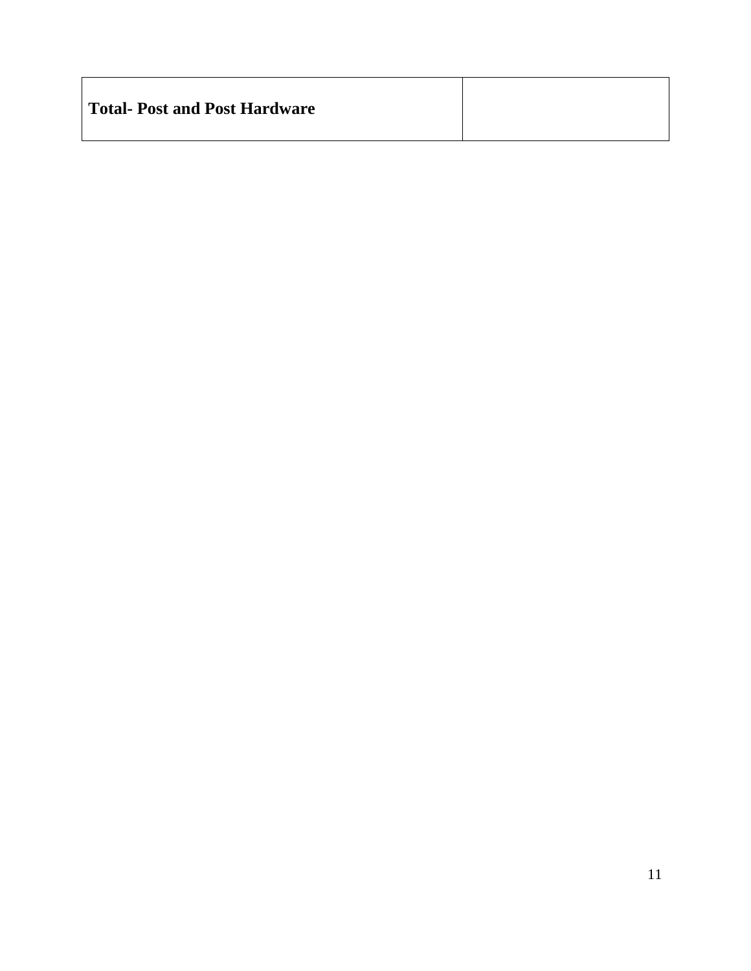| Total- Post and Post Hardware |  |
|-------------------------------|--|
|                               |  |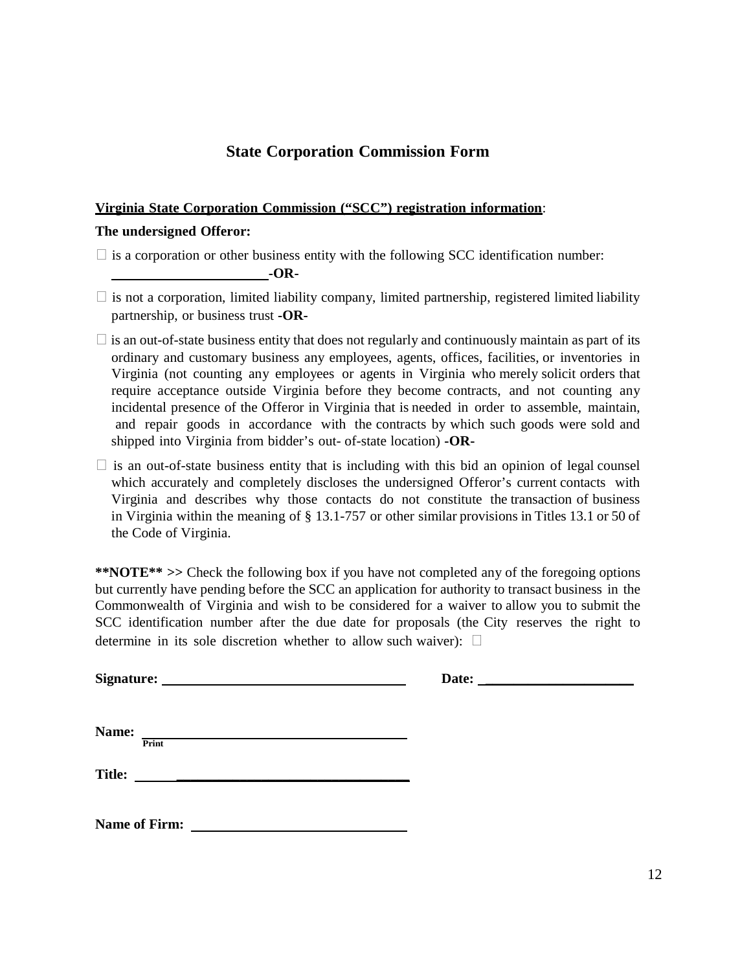## **State Corporation Commission Form**

#### **Virginia State Corporation Commission ("SCC") registration information**:

#### **The undersigned Offeror:**

 $\Box$  is a corporation or other business entity with the following SCC identification number:

**-OR-**

- $\Box$  is not a corporation, limited liability company, limited partnership, registered limited liability partnership, or business trust **-OR-**
- $\Box$  is an out-of-state business entity that does not regularly and continuously maintain as part of its ordinary and customary business any employees, agents, offices, facilities, or inventories in Virginia (not counting any employees or agents in Virginia who merely solicit orders that require acceptance outside Virginia before they become contracts, and not counting any incidental presence of the Offeror in Virginia that is needed in order to assemble, maintain, and repair goods in accordance with the contracts by which such goods were sold and shipped into Virginia from bidder's out- of-state location) **-OR-**
- $\Box$  is an out-of-state business entity that is including with this bid an opinion of legal counsel which accurately and completely discloses the undersigned Offeror's current contacts with Virginia and describes why those contacts do not constitute the transaction of business in Virginia within the meaning of § 13.1-757 or other similar provisions in Titles 13.1 or 50 of the Code of Virginia.

**\*\*NOTE\*\* >>** Check the following box if you have not completed any of the foregoing options but currently have pending before the SCC an application for authority to transact business in the Commonwealth of Virginia and wish to be considered for a waiver to allow you to submit the SCC identification number after the due date for proposals (the City reserves the right to determine in its sole discretion whether to allow such waiver):  $\Box$ 

**Signature: Date: \_\_\_\_\_\_\_\_\_\_\_\_\_\_\_\_\_\_\_\_\_**

**Name: Print**

 **Title: \_\_\_\_\_\_\_\_\_\_\_\_\_\_\_\_\_\_\_\_\_\_\_\_\_\_\_\_\_\_\_\_\_**

**Name of Firm:**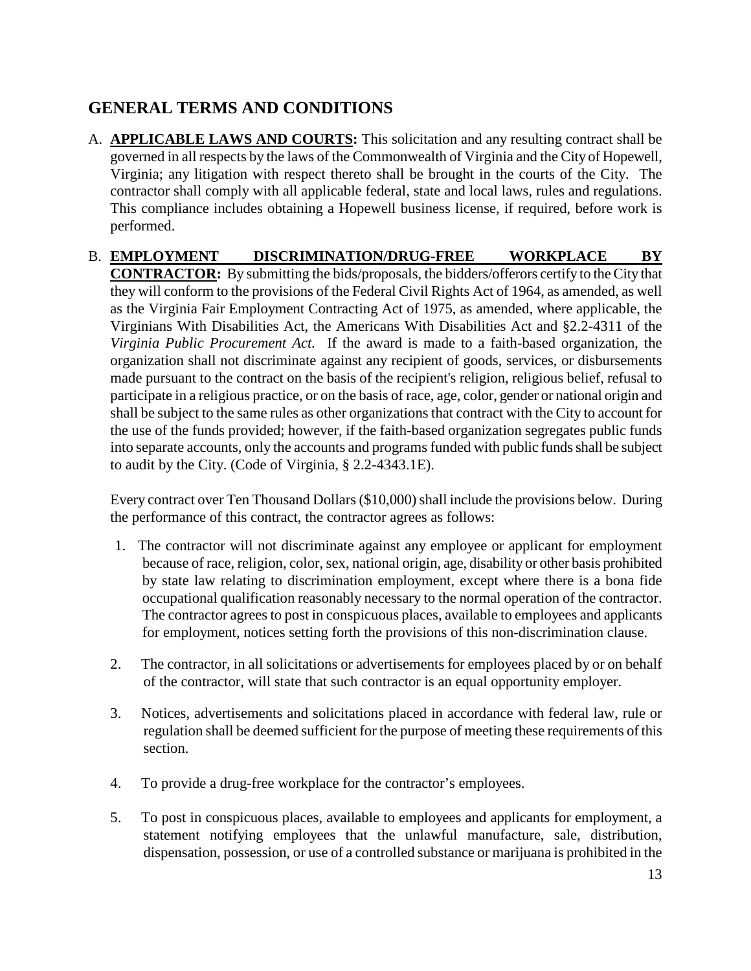# **GENERAL TERMS AND CONDITIONS**

- A. **APPLICABLE LAWS AND COURTS:** This solicitation and any resulting contract shall be governed in all respects by the laws of the Commonwealth of Virginia and the City of Hopewell, Virginia; any litigation with respect thereto shall be brought in the courts of the City. The contractor shall comply with all applicable federal, state and local laws, rules and regulations. This compliance includes obtaining a Hopewell business license, if required, before work is performed.
- B. **EMPLOYMENT DISCRIMINATION/DRUG-FREE WORKPLACE BY CONTRACTOR:** By submitting the bids/proposals, the bidders/offerors certify to the City that they will conform to the provisions of the Federal Civil Rights Act of 1964, as amended, as well as the Virginia Fair Employment Contracting Act of 1975, as amended, where applicable, the Virginians With Disabilities Act, the Americans With Disabilities Act and §2.2-4311 of the *Virginia Public Procurement Act.* If the award is made to a faith-based organization, the organization shall not discriminate against any recipient of goods, services, or disbursements made pursuant to the contract on the basis of the recipient's religion, religious belief, refusal to participate in a religious practice, or on the basis of race, age, color, gender or national origin and shall be subject to the same rules as other organizations that contract with the City to account for the use of the funds provided; however, if the faith-based organization segregates public funds into separate accounts, only the accounts and programs funded with public funds shall be subject to audit by the City. (Code of Virginia, § 2.2-4343.1E).

Every contract over Ten Thousand Dollars (\$10,000) shall include the provisions below. During the performance of this contract, the contractor agrees as follows:

- 1. The contractor will not discriminate against any employee or applicant for employment because of race, religion, color, sex, national origin, age, disability or other basis prohibited by state law relating to discrimination employment, except where there is a bona fide occupational qualification reasonably necessary to the normal operation of the contractor. The contractor agrees to post in conspicuous places, available to employees and applicants for employment, notices setting forth the provisions of this non-discrimination clause.
- 2. The contractor, in all solicitations or advertisements for employees placed by or on behalf of the contractor, will state that such contractor is an equal opportunity employer.
- 3. Notices, advertisements and solicitations placed in accordance with federal law, rule or regulation shall be deemed sufficient for the purpose of meeting these requirements of this section.
- 4. To provide a drug-free workplace for the contractor's employees.
- 5. To post in conspicuous places, available to employees and applicants for employment, a statement notifying employees that the unlawful manufacture, sale, distribution, dispensation, possession, or use of a controlled substance or marijuana is prohibited in the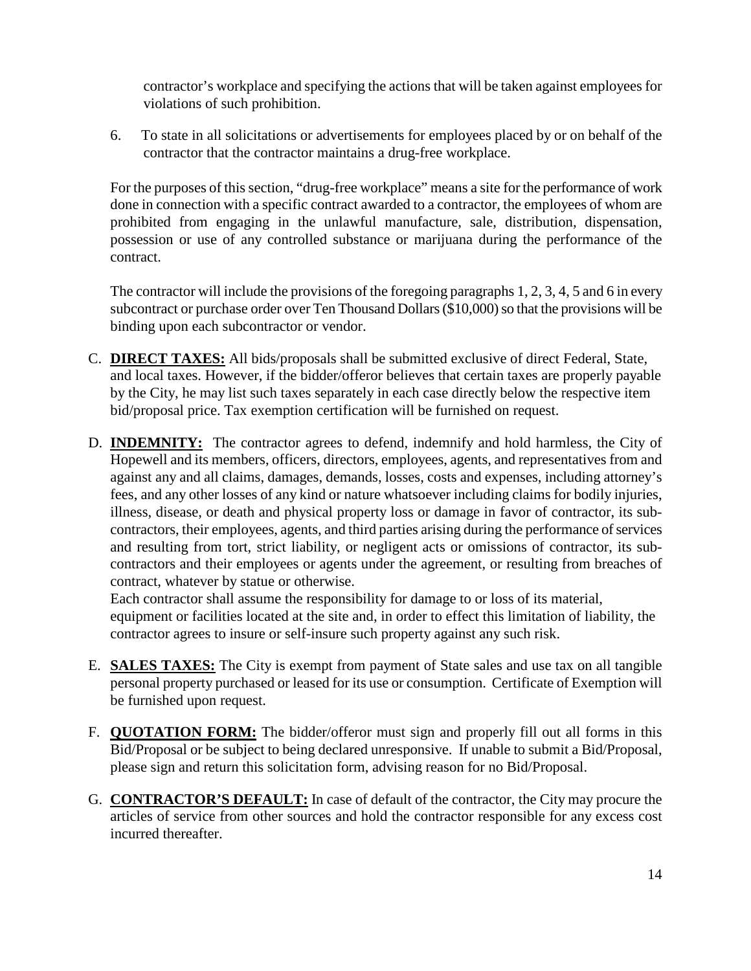contractor's workplace and specifying the actions that will be taken against employees for violations of such prohibition.

6. To state in all solicitations or advertisements for employees placed by or on behalf of the contractor that the contractor maintains a drug-free workplace.

For the purposes of this section, "drug-free workplace" means a site for the performance of work done in connection with a specific contract awarded to a contractor, the employees of whom are prohibited from engaging in the unlawful manufacture, sale, distribution, dispensation, possession or use of any controlled substance or marijuana during the performance of the contract.

The contractor will include the provisions of the foregoing paragraphs 1, 2, 3, 4, 5 and 6 in every subcontract or purchase order over Ten Thousand Dollars (\$10,000) so that the provisions will be binding upon each subcontractor or vendor.

- C. **DIRECT TAXES:** All bids/proposals shall be submitted exclusive of direct Federal, State, and local taxes. However, if the bidder/offeror believes that certain taxes are properly payable by the City, he may list such taxes separately in each case directly below the respective item bid/proposal price. Tax exemption certification will be furnished on request.
- D. **INDEMNITY:** The contractor agrees to defend, indemnify and hold harmless, the City of Hopewell and its members, officers, directors, employees, agents, and representatives from and against any and all claims, damages, demands, losses, costs and expenses, including attorney's fees, and any other losses of any kind or nature whatsoever including claims for bodily injuries, illness, disease, or death and physical property loss or damage in favor of contractor, its subcontractors, their employees, agents, and third parties arising during the performance of services and resulting from tort, strict liability, or negligent acts or omissions of contractor, its subcontractors and their employees or agents under the agreement, or resulting from breaches of contract, whatever by statue or otherwise.

Each contractor shall assume the responsibility for damage to or loss of its material, equipment or facilities located at the site and, in order to effect this limitation of liability, the contractor agrees to insure or self-insure such property against any such risk.

- E. **SALES TAXES:** The City is exempt from payment of State sales and use tax on all tangible personal property purchased or leased for its use or consumption. Certificate of Exemption will be furnished upon request.
- F. **QUOTATION FORM:** The bidder/offeror must sign and properly fill out all forms in this Bid/Proposal or be subject to being declared unresponsive. If unable to submit a Bid/Proposal, please sign and return this solicitation form, advising reason for no Bid/Proposal.
- G. **CONTRACTOR'S DEFAULT:** In case of default of the contractor, the City may procure the articles of service from other sources and hold the contractor responsible for any excess cost incurred thereafter.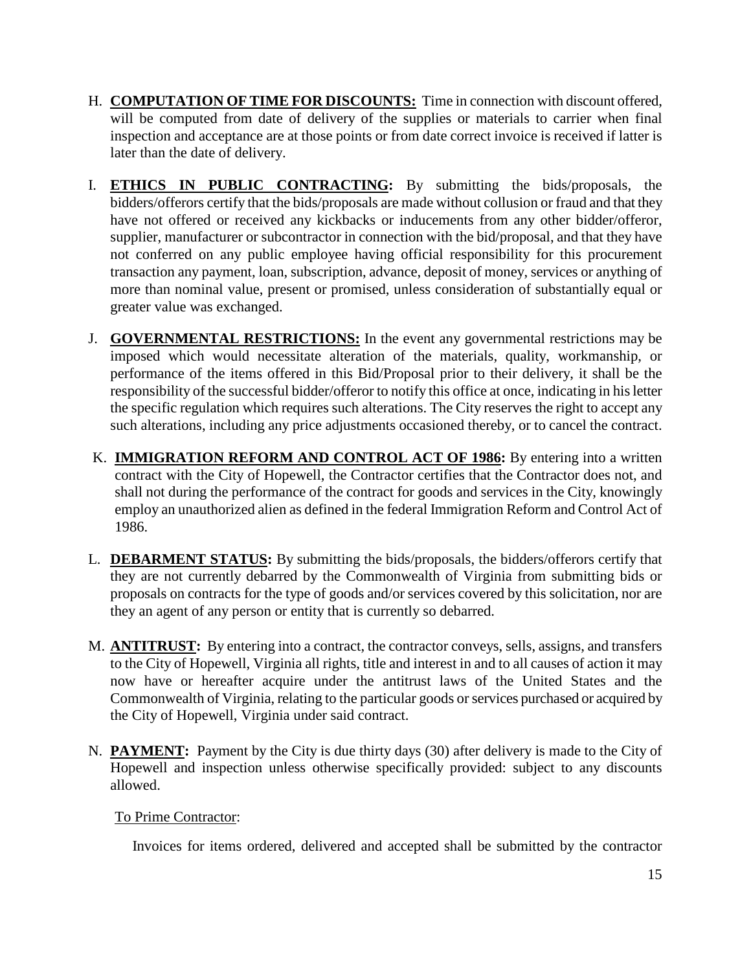- H. **COMPUTATION OF TIME FOR DISCOUNTS:** Time in connection with discount offered, will be computed from date of delivery of the supplies or materials to carrier when final inspection and acceptance are at those points or from date correct invoice is received if latter is later than the date of delivery.
- I. **ETHICS IN PUBLIC CONTRACTING:** By submitting the bids/proposals, the bidders/offerors certify that the bids/proposals are made without collusion or fraud and that they have not offered or received any kickbacks or inducements from any other bidder/offeror, supplier, manufacturer or subcontractor in connection with the bid/proposal, and that they have not conferred on any public employee having official responsibility for this procurement transaction any payment, loan, subscription, advance, deposit of money, services or anything of more than nominal value, present or promised, unless consideration of substantially equal or greater value was exchanged.
- J. **GOVERNMENTAL RESTRICTIONS:** In the event any governmental restrictions may be imposed which would necessitate alteration of the materials, quality, workmanship, or performance of the items offered in this Bid/Proposal prior to their delivery, it shall be the responsibility of the successful bidder/offeror to notify this office at once, indicating in his letter the specific regulation which requires such alterations. The City reserves the right to accept any such alterations, including any price adjustments occasioned thereby, or to cancel the contract.
- K. **IMMIGRATION REFORM AND CONTROL ACT OF 1986:** By entering into a written contract with the City of Hopewell, the Contractor certifies that the Contractor does not, and shall not during the performance of the contract for goods and services in the City, knowingly employ an unauthorized alien as defined in the federal Immigration Reform and Control Act of 1986.
- L. **DEBARMENT STATUS:** By submitting the bids/proposals, the bidders/offerors certify that they are not currently debarred by the Commonwealth of Virginia from submitting bids or proposals on contracts for the type of goods and/or services covered by this solicitation, nor are they an agent of any person or entity that is currently so debarred.
- M. **ANTITRUST:** By entering into a contract, the contractor conveys, sells, assigns, and transfers to the City of Hopewell, Virginia all rights, title and interest in and to all causes of action it may now have or hereafter acquire under the antitrust laws of the United States and the Commonwealth of Virginia, relating to the particular goods or services purchased or acquired by the City of Hopewell, Virginia under said contract.
- N. **PAYMENT:** Payment by the City is due thirty days (30) after delivery is made to the City of Hopewell and inspection unless otherwise specifically provided: subject to any discounts allowed.

#### To Prime Contractor:

Invoices for items ordered, delivered and accepted shall be submitted by the contractor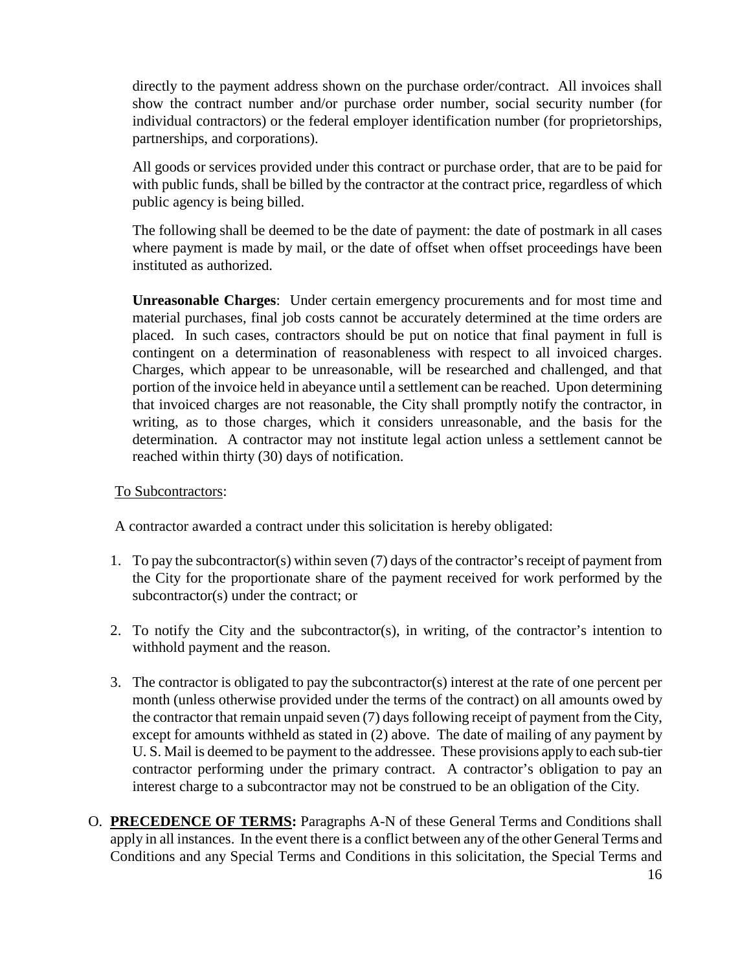directly to the payment address shown on the purchase order/contract. All invoices shall show the contract number and/or purchase order number, social security number (for individual contractors) or the federal employer identification number (for proprietorships, partnerships, and corporations).

All goods or services provided under this contract or purchase order, that are to be paid for with public funds, shall be billed by the contractor at the contract price, regardless of which public agency is being billed.

The following shall be deemed to be the date of payment: the date of postmark in all cases where payment is made by mail, or the date of offset when offset proceedings have been instituted as authorized.

**Unreasonable Charges**: Under certain emergency procurements and for most time and material purchases, final job costs cannot be accurately determined at the time orders are placed. In such cases, contractors should be put on notice that final payment in full is contingent on a determination of reasonableness with respect to all invoiced charges. Charges, which appear to be unreasonable, will be researched and challenged, and that portion of the invoice held in abeyance until a settlement can be reached. Upon determining that invoiced charges are not reasonable, the City shall promptly notify the contractor, in writing, as to those charges, which it considers unreasonable, and the basis for the determination. A contractor may not institute legal action unless a settlement cannot be reached within thirty (30) days of notification.

#### To Subcontractors:

A contractor awarded a contract under this solicitation is hereby obligated:

- 1. To pay the subcontractor(s) within seven (7) days of the contractor's receipt of payment from the City for the proportionate share of the payment received for work performed by the subcontractor(s) under the contract; or
- 2. To notify the City and the subcontractor(s), in writing, of the contractor's intention to withhold payment and the reason.
- 3. The contractor is obligated to pay the subcontractor(s) interest at the rate of one percent per month (unless otherwise provided under the terms of the contract) on all amounts owed by the contractor that remain unpaid seven (7) days following receipt of payment from the City, except for amounts withheld as stated in (2) above. The date of mailing of any payment by U. S. Mail is deemed to be payment to the addressee. These provisions apply to each sub-tier contractor performing under the primary contract. A contractor's obligation to pay an interest charge to a subcontractor may not be construed to be an obligation of the City.
- O. **PRECEDENCE OF TERMS:** Paragraphs A-N of these General Terms and Conditions shall apply in all instances. In the event there is a conflict between any of the other General Terms and Conditions and any Special Terms and Conditions in this solicitation, the Special Terms and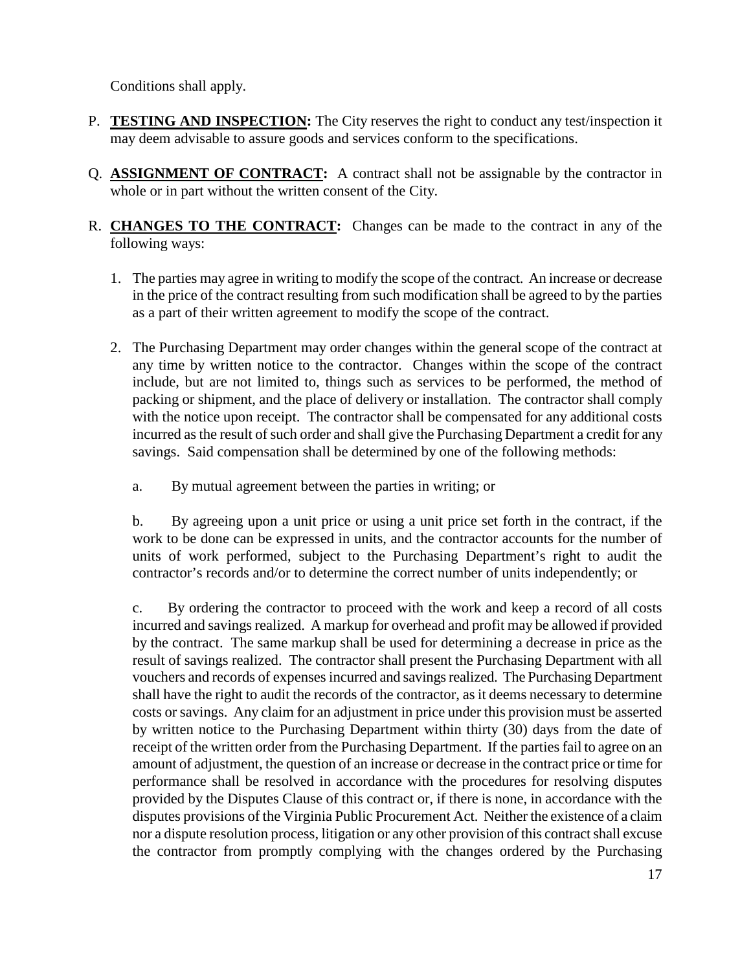Conditions shall apply.

- P. **TESTING AND INSPECTION:** The City reserves the right to conduct any test/inspection it may deem advisable to assure goods and services conform to the specifications.
- Q. **ASSIGNMENT OF CONTRACT:** A contract shall not be assignable by the contractor in whole or in part without the written consent of the City.
- R. **CHANGES TO THE CONTRACT:** Changes can be made to the contract in any of the following ways:
	- 1. The parties may agree in writing to modify the scope of the contract. An increase or decrease in the price of the contract resulting from such modification shall be agreed to by the parties as a part of their written agreement to modify the scope of the contract.
	- 2. The Purchasing Department may order changes within the general scope of the contract at any time by written notice to the contractor. Changes within the scope of the contract include, but are not limited to, things such as services to be performed, the method of packing or shipment, and the place of delivery or installation. The contractor shall comply with the notice upon receipt. The contractor shall be compensated for any additional costs incurred as the result of such order and shall give the Purchasing Department a credit for any savings. Said compensation shall be determined by one of the following methods:
		- a. By mutual agreement between the parties in writing; or

b. By agreeing upon a unit price or using a unit price set forth in the contract, if the work to be done can be expressed in units, and the contractor accounts for the number of units of work performed, subject to the Purchasing Department's right to audit the contractor's records and/or to determine the correct number of units independently; or

c. By ordering the contractor to proceed with the work and keep a record of all costs incurred and savings realized. A markup for overhead and profit may be allowed if provided by the contract. The same markup shall be used for determining a decrease in price as the result of savings realized. The contractor shall present the Purchasing Department with all vouchers and records of expenses incurred and savings realized. The Purchasing Department shall have the right to audit the records of the contractor, as it deems necessary to determine costs or savings. Any claim for an adjustment in price under this provision must be asserted by written notice to the Purchasing Department within thirty (30) days from the date of receipt of the written order from the Purchasing Department. If the parties fail to agree on an amount of adjustment, the question of an increase or decrease in the contract price or time for performance shall be resolved in accordance with the procedures for resolving disputes provided by the Disputes Clause of this contract or, if there is none, in accordance with the disputes provisions of the Virginia Public Procurement Act. Neither the existence of a claim nor a dispute resolution process, litigation or any other provision of this contract shall excuse the contractor from promptly complying with the changes ordered by the Purchasing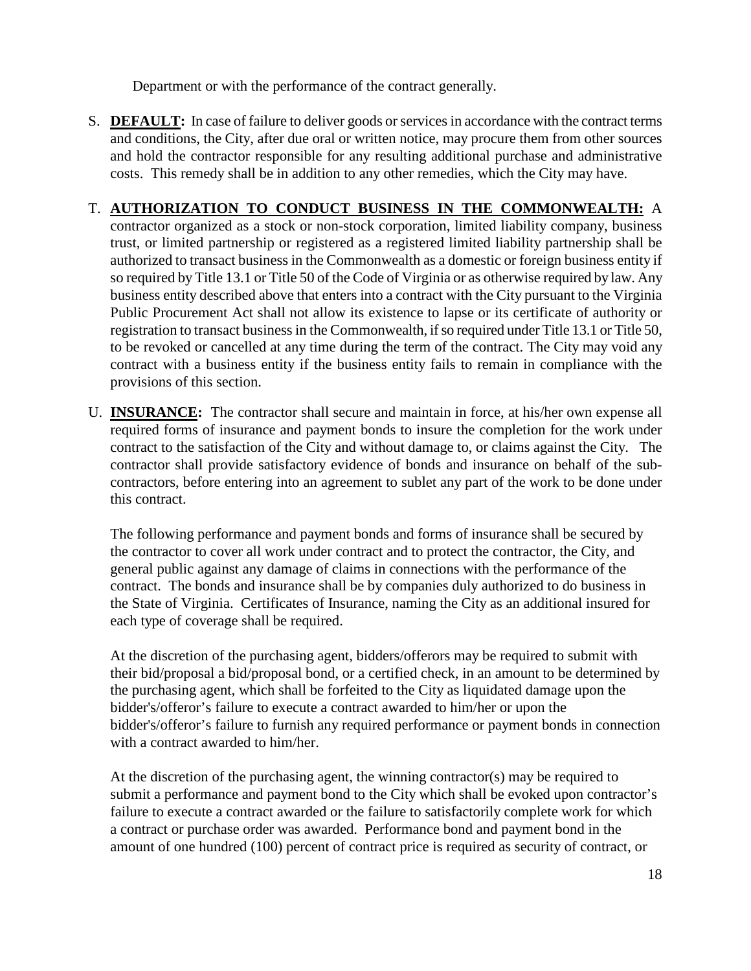Department or with the performance of the contract generally.

S. **DEFAULT:** In case of failure to deliver goods or services in accordance with the contract terms and conditions, the City, after due oral or written notice, may procure them from other sources and hold the contractor responsible for any resulting additional purchase and administrative costs. This remedy shall be in addition to any other remedies, which the City may have.

## T. **AUTHORIZATION TO CONDUCT BUSINESS IN THE COMMONWEALTH:** A

contractor organized as a stock or non-stock corporation, limited liability company, business trust, or limited partnership or registered as a registered limited liability partnership shall be authorized to transact business in the Commonwealth as a domestic or foreign business entity if so required by Title 13.1 or Title 50 of the Code of Virginia or as otherwise required by law. Any business entity described above that enters into a contract with the City pursuant to the Virginia Public Procurement Act shall not allow its existence to lapse or its certificate of authority or registration to transact business in the Commonwealth, if so required under Title 13.1 or Title 50, to be revoked or cancelled at any time during the term of the contract. The City may void any contract with a business entity if the business entity fails to remain in compliance with the provisions of this section.

U. **INSURANCE:** The contractor shall secure and maintain in force, at his/her own expense all required forms of insurance and payment bonds to insure the completion for the work under contract to the satisfaction of the City and without damage to, or claims against the City. The contractor shall provide satisfactory evidence of bonds and insurance on behalf of the subcontractors, before entering into an agreement to sublet any part of the work to be done under this contract.

The following performance and payment bonds and forms of insurance shall be secured by the contractor to cover all work under contract and to protect the contractor, the City, and general public against any damage of claims in connections with the performance of the contract. The bonds and insurance shall be by companies duly authorized to do business in the State of Virginia. Certificates of Insurance, naming the City as an additional insured for each type of coverage shall be required.

At the discretion of the purchasing agent, bidders/offerors may be required to submit with their bid/proposal a bid/proposal bond, or a certified check, in an amount to be determined by the purchasing agent, which shall be forfeited to the City as liquidated damage upon the bidder's/offeror's failure to execute a contract awarded to him/her or upon the bidder's/offeror's failure to furnish any required performance or payment bonds in connection with a contract awarded to him/her.

At the discretion of the purchasing agent, the winning contractor(s) may be required to submit a performance and payment bond to the City which shall be evoked upon contractor's failure to execute a contract awarded or the failure to satisfactorily complete work for which a contract or purchase order was awarded. Performance bond and payment bond in the amount of one hundred (100) percent of contract price is required as security of contract, or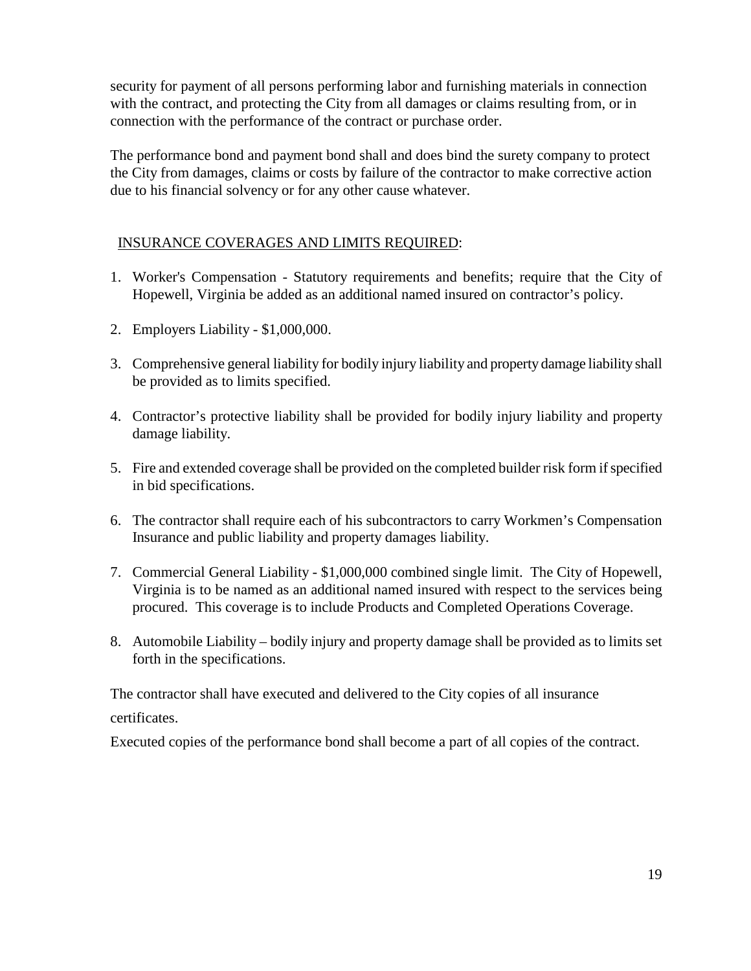security for payment of all persons performing labor and furnishing materials in connection with the contract, and protecting the City from all damages or claims resulting from, or in connection with the performance of the contract or purchase order.

The performance bond and payment bond shall and does bind the surety company to protect the City from damages, claims or costs by failure of the contractor to make corrective action due to his financial solvency or for any other cause whatever.

## INSURANCE COVERAGES AND LIMITS REQUIRED:

- 1. Worker's Compensation Statutory requirements and benefits; require that the City of Hopewell, Virginia be added as an additional named insured on contractor's policy.
- 2. Employers Liability \$1,000,000.
- 3. Comprehensive general liability for bodily injury liability and property damage liability shall be provided as to limits specified.
- 4. Contractor's protective liability shall be provided for bodily injury liability and property damage liability.
- 5. Fire and extended coverage shall be provided on the completed builder risk form if specified in bid specifications.
- 6. The contractor shall require each of his subcontractors to carry Workmen's Compensation Insurance and public liability and property damages liability.
- 7. Commercial General Liability \$1,000,000 combined single limit. The City of Hopewell, Virginia is to be named as an additional named insured with respect to the services being procured. This coverage is to include Products and Completed Operations Coverage.
- 8. Automobile Liability bodily injury and property damage shall be provided as to limits set forth in the specifications.

The contractor shall have executed and delivered to the City copies of all insurance

#### certificates.

Executed copies of the performance bond shall become a part of all copies of the contract.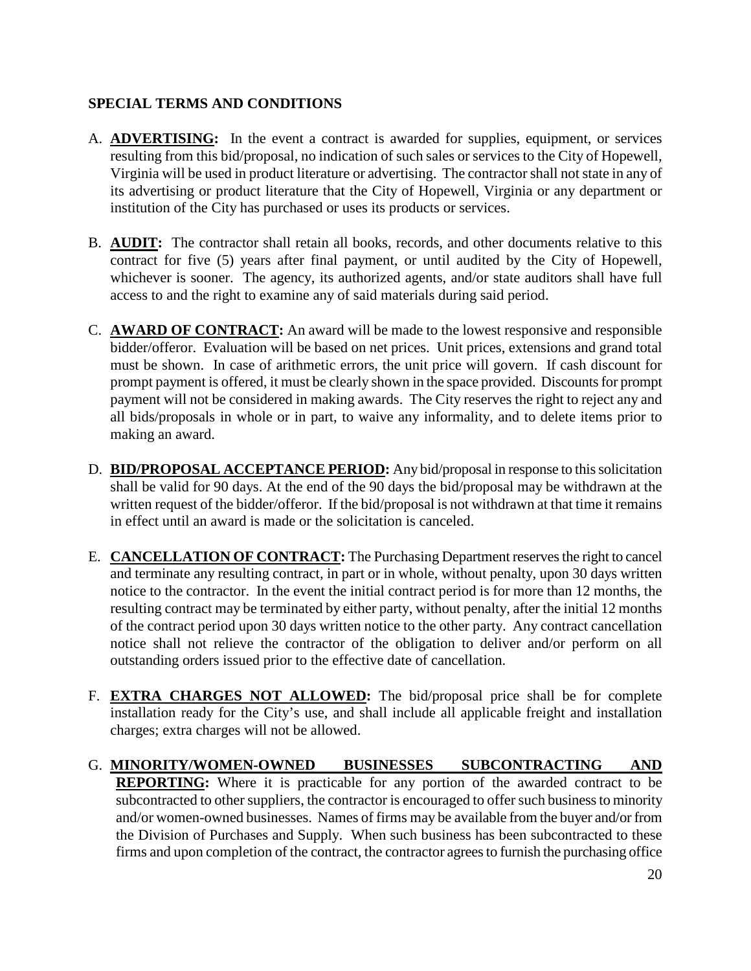#### **SPECIAL TERMS AND CONDITIONS**

- A. **ADVERTISING:** In the event a contract is awarded for supplies, equipment, or services resulting from this bid/proposal, no indication of such sales or services to the City of Hopewell, Virginia will be used in product literature or advertising. The contractor shall not state in any of its advertising or product literature that the City of Hopewell, Virginia or any department or institution of the City has purchased or uses its products or services.
- B. **AUDIT:** The contractor shall retain all books, records, and other documents relative to this contract for five (5) years after final payment, or until audited by the City of Hopewell, whichever is sooner. The agency, its authorized agents, and/or state auditors shall have full access to and the right to examine any of said materials during said period.
- C. **AWARD OF CONTRACT:** An award will be made to the lowest responsive and responsible bidder/offeror. Evaluation will be based on net prices. Unit prices, extensions and grand total must be shown. In case of arithmetic errors, the unit price will govern. If cash discount for prompt payment is offered, it must be clearly shown in the space provided. Discounts for prompt payment will not be considered in making awards. The City reserves the right to reject any and all bids/proposals in whole or in part, to waive any informality, and to delete items prior to making an award.
- D. **BID/PROPOSAL ACCEPTANCE PERIOD:** Any bid/proposal in response to this solicitation shall be valid for 90 days. At the end of the 90 days the bid/proposal may be withdrawn at the written request of the bidder/offeror. If the bid/proposal is not withdrawn at that time it remains in effect until an award is made or the solicitation is canceled.
- E. **CANCELLATION OF CONTRACT:** The Purchasing Department reserves the right to cancel and terminate any resulting contract, in part or in whole, without penalty, upon 30 days written notice to the contractor. In the event the initial contract period is for more than 12 months, the resulting contract may be terminated by either party, without penalty, after the initial 12 months of the contract period upon 30 days written notice to the other party. Any contract cancellation notice shall not relieve the contractor of the obligation to deliver and/or perform on all outstanding orders issued prior to the effective date of cancellation.
- F. **EXTRA CHARGES NOT ALLOWED:** The bid/proposal price shall be for complete installation ready for the City's use, and shall include all applicable freight and installation charges; extra charges will not be allowed.
- G. **MINORITY/WOMEN-OWNED BUSINESSES SUBCONTRACTING AND REPORTING:** Where it is practicable for any portion of the awarded contract to be subcontracted to other suppliers, the contractor is encouraged to offer such business to minority and/or women-owned businesses. Names of firms may be available from the buyer and/or from the Division of Purchases and Supply. When such business has been subcontracted to these firms and upon completion of the contract, the contractor agrees to furnish the purchasing office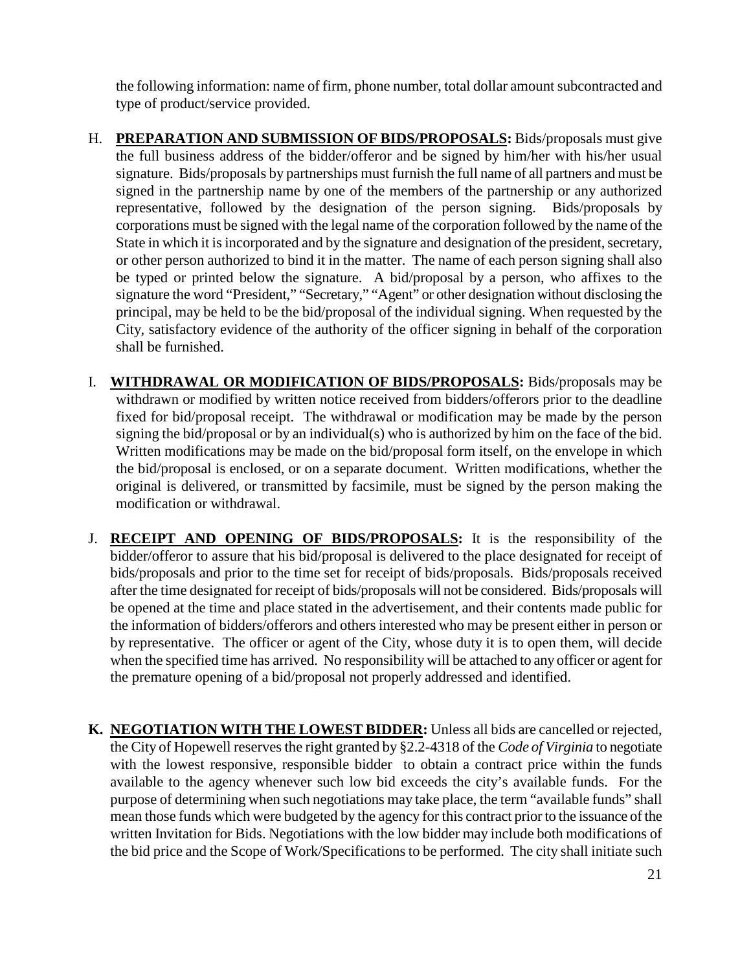the following information: name of firm, phone number, total dollar amount subcontracted and type of product/service provided.

- H. **PREPARATION AND SUBMISSION OF BIDS/PROPOSALS:** Bids/proposals must give the full business address of the bidder/offeror and be signed by him/her with his/her usual signature. Bids/proposals by partnerships must furnish the full name of all partners and must be signed in the partnership name by one of the members of the partnership or any authorized representative, followed by the designation of the person signing. Bids/proposals by corporations must be signed with the legal name of the corporation followed by the name of the State in which it is incorporated and by the signature and designation of the president, secretary, or other person authorized to bind it in the matter. The name of each person signing shall also be typed or printed below the signature. A bid/proposal by a person, who affixes to the signature the word "President," "Secretary," "Agent" or other designation without disclosing the principal, may be held to be the bid/proposal of the individual signing. When requested by the City, satisfactory evidence of the authority of the officer signing in behalf of the corporation shall be furnished.
- I. **WITHDRAWAL OR MODIFICATION OF BIDS/PROPOSALS:** Bids/proposals may be withdrawn or modified by written notice received from bidders/offerors prior to the deadline fixed for bid/proposal receipt. The withdrawal or modification may be made by the person signing the bid/proposal or by an individual(s) who is authorized by him on the face of the bid. Written modifications may be made on the bid/proposal form itself, on the envelope in which the bid/proposal is enclosed, or on a separate document. Written modifications, whether the original is delivered, or transmitted by facsimile, must be signed by the person making the modification or withdrawal.
- J. **RECEIPT AND OPENING OF BIDS/PROPOSALS:** It is the responsibility of the bidder/offeror to assure that his bid/proposal is delivered to the place designated for receipt of bids/proposals and prior to the time set for receipt of bids/proposals. Bids/proposals received after the time designated for receipt of bids/proposals will not be considered. Bids/proposals will be opened at the time and place stated in the advertisement, and their contents made public for the information of bidders/offerors and others interested who may be present either in person or by representative. The officer or agent of the City, whose duty it is to open them, will decide when the specified time has arrived. No responsibility will be attached to any officer or agent for the premature opening of a bid/proposal not properly addressed and identified.
- **K. NEGOTIATION WITH THE LOWEST BIDDER:** Unless all bids are cancelled or rejected, the City of Hopewell reserves the right granted by §2.2-4318 of the *Code of Virginia* to negotiate with the lowest responsive, responsible bidder to obtain a contract price within the funds available to the agency whenever such low bid exceeds the city's available funds. For the purpose of determining when such negotiations may take place, the term "available funds" shall mean those funds which were budgeted by the agency for this contract prior to the issuance of the written Invitation for Bids. Negotiations with the low bidder may include both modifications of the bid price and the Scope of Work/Specifications to be performed. The city shall initiate such